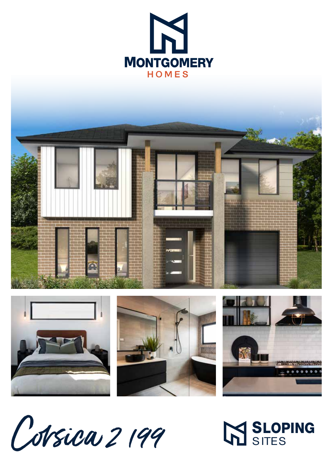





**M SLOPING**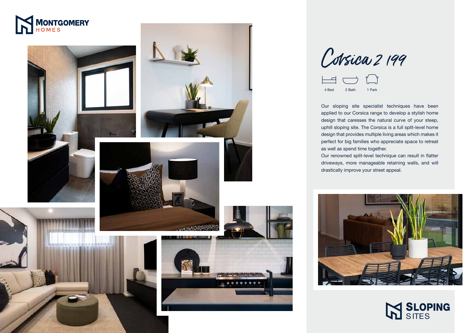









Our sloping site specialist techniques have been applied to our Corsica range to develop a stylish home design that caresses the natural curve of your steep, uphill sloping site. The Corsica is a full split-level home design that provides multiple living areas which makes it perfect for big families who appreciate space to retreat

as well as spend time together.



Corsica 2199



Our renowned split-level technique can result in flatter driveways, more manageable retaining walls, and will drastically improve your street appeal.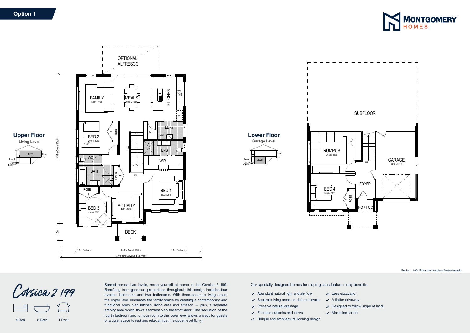4 Bed 2 Bath 1 Park

Our specially designed homes for sloping sites feature many benefits:

- $\blacktriangleright$  Abundant natural light and air-flow
- $\checkmark$  Separate living areas on different levels
- $\vee$  Preserve natural drainage
- $\checkmark$  Enhance outlooks and views
- Unique and architectural looking design
- $\sqrt{\phantom{a}}$  Maximise space
- 
- 



Scale: 1:100. Floor plan depicts Metro facade.

- $\checkmark$  Less excavation
- $\swarrow$  A flatter driveway
- $\vee$  Designed to follow slope of land



Corsica 2 199



Spread across two levels, make yourself at home in the Corsica 2 199. Benefiting from generous proportions throughout, this design includes four sizeable bedrooms and two bathrooms. With three separate living areas, the upper level embraces the family space by creating a contemporary and functional open plan kitchen, living area and alfresco — plus, a separate activity area which flows seamlessly to the front deck. The seclusion of the fourth bedroom and rumpus room to the lower level allows privacy for guests or a quiet space to rest and relax amidst the upper level flurry.

## Option 1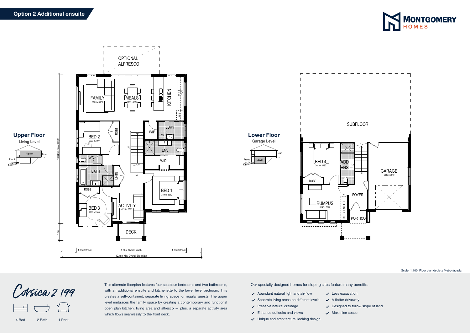Our specially designed homes for sloping sites feature many benefits:

- $\blacktriangleright$  Abundant natural light and air-flow
- $\checkmark$  Separate living areas on different levels
- $\vee$  Preserve natural drainage
- $\checkmark$  Enhance outlooks and views
- Unique and architectural looking design



Scale: 1:100. Floor plan depicts Metro facade.

- $\checkmark$  Less excavation
- $\swarrow$  A flatter driveway
- $\vee$  Designed to follow slope of land
- $\sqrt{\phantom{a}}$  Maximise space

4 Bed 2 Bath 1 Park



Corsica 2 199

This alternate floorplan features four spacious bedrooms and two bathrooms, with an additional ensuite and kitchenette to the lower level bedroom. This creates a self-contained, separate living space for regular guests. The upper level embraces the family space by creating a contemporary and functional open plan kitchen, living area and alfresco — plus, a separate activity area which flows seamlessly to the front deck.